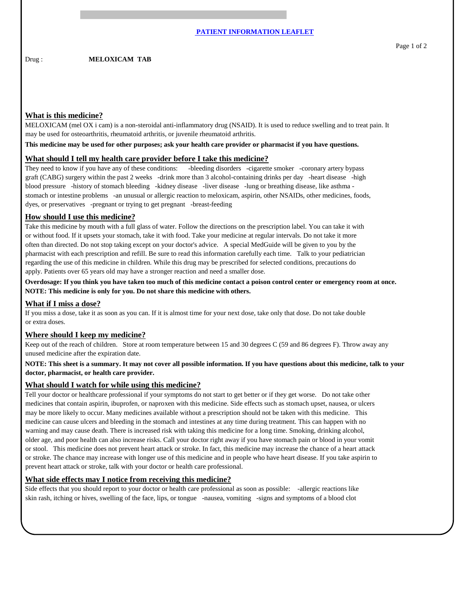MELOXICAM (mel OX i cam) is a non-steroidal anti-inflammatory drug (NSAID). It is used to reduce swelling and to treat pain. It may be used for osteoarthritis, rheumatoid arthritis, or juvenile rheumatoid arthritis.

**This medicine may be used for other purposes; ask your health care provider or pharmacist if you have questions.**

#### **What should I tell my health care provider before I take this medicine?**

They need to know if you have any of these conditions: -bleeding disorders -cigarette smoker -coronary artery bypass graft (CABG) surgery within the past 2 weeks -drink more than 3 alcohol-containing drinks per day -heart disease -high blood pressure -history of stomach bleeding -kidney disease -liver disease -lung or breathing disease, like asthma stomach or intestine problems -an unusual or allergic reaction to meloxicam, aspirin, other NSAIDs, other medicines, foods, dyes, or preservatives -pregnant or trying to get pregnant -breast-feeding

# **How should I use this medicine?**

Take this medicine by mouth with a full glass of water. Follow the directions on the prescription label. You can take it with or without food. If it upsets your stomach, take it with food. Take your medicine at regular intervals. Do not take it more often than directed. Do not stop taking except on your doctor's advice. A special MedGuide will be given to you by the pharmacist with each prescription and refill. Be sure to read this information carefully each time. Talk to your pediatrician regarding the use of this medicine in children. While this drug may be prescribed for selected conditions, precautions do apply. Patients over 65 years old may have a stronger reaction and need a smaller dose.

**Overdosage: If you think you have taken too much of this medicine contact a poison control center or emergency room at once. NOTE: This medicine is only for you. Do not share this medicine with others.**

#### **What if I miss a dose?**

If you miss a dose, take it as soon as you can. If it is almost time for your next dose, take only that dose. Do not take double or extra doses.

# **Where should I keep my medicine?**

Keep out of the reach of children. Store at room temperature between 15 and 30 degrees C (59 and 86 degrees F). Throw away any unused medicine after the expiration date.

#### **NOTE: This sheet is a summary. It may not cover all possible information. If you have questions about this medicine, talk to your doctor, pharmacist, or health care provider.**

# **What should I watch for while using this medicine?**

Tell your doctor or healthcare professional if your symptoms do not start to get better or if they get worse. Do not take other medicines that contain aspirin, ibuprofen, or naproxen with this medicine. Side effects such as stomach upset, nausea, or ulcers may be more likely to occur. Many medicines available without a prescription should not be taken with this medicine. This medicine can cause ulcers and bleeding in the stomach and intestines at any time during treatment. This can happen with no warning and may cause death. There is increased risk with taking this medicine for a long time. Smoking, drinking alcohol, older age, and poor health can also increase risks. Call your doctor right away if you have stomach pain or blood in your vomit or stool. This medicine does not prevent heart attack or stroke. In fact, this medicine may increase the chance of a heart attack or stroke. The chance may increase with longer use of this medicine and in people who have heart disease. If you take aspirin to prevent heart attack or stroke, talk with your doctor or health care professional.

# **What side effects may I notice from receiving this medicine?**

Side effects that you should report to your doctor or health care professional as soon as possible: -allergic reactions like skin rash, itching or hives, swelling of the face, lips, or tongue -nausea, vomiting -signs and symptoms of a blood clot